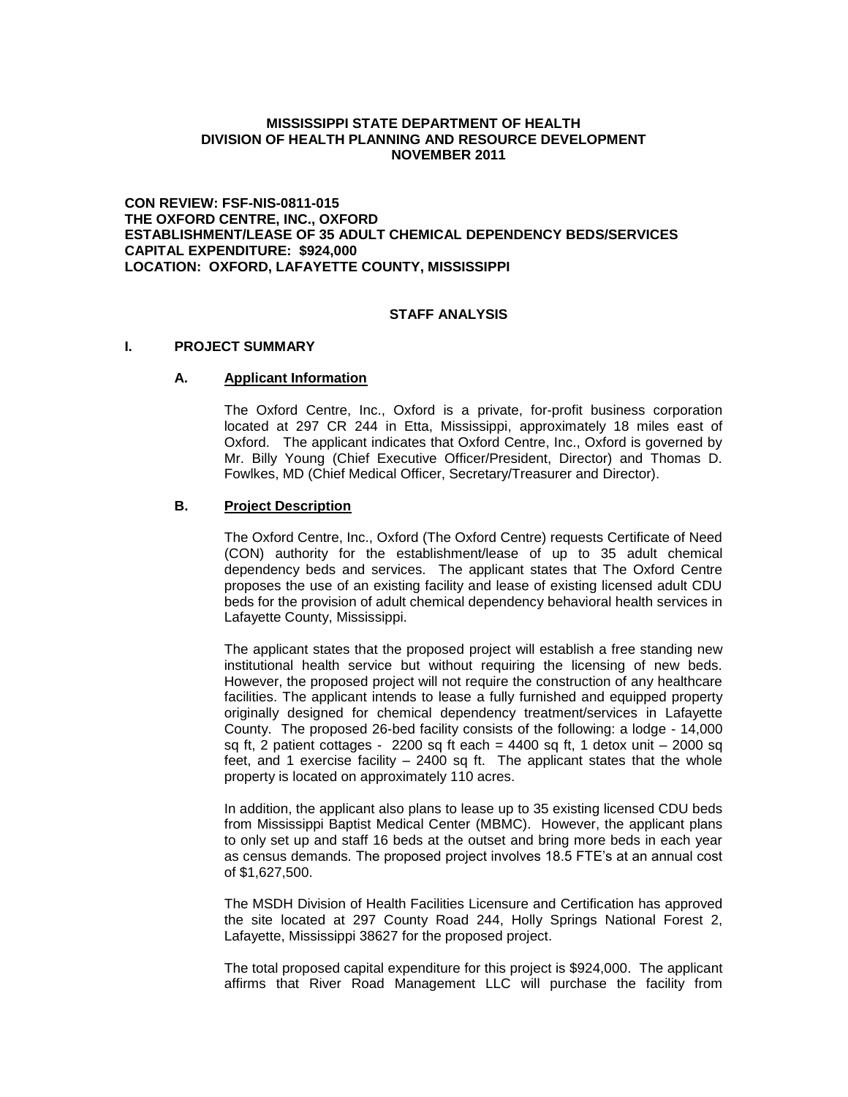#### **MISSISSIPPI STATE DEPARTMENT OF HEALTH DIVISION OF HEALTH PLANNING AND RESOURCE DEVELOPMENT NOVEMBER 2011**

**CON REVIEW: FSF-NIS-0811-015 THE OXFORD CENTRE, INC., OXFORD ESTABLISHMENT/LEASE OF 35 ADULT CHEMICAL DEPENDENCY BEDS/SERVICES CAPITAL EXPENDITURE: \$924,000 LOCATION: OXFORD, LAFAYETTE COUNTY, MISSISSIPPI**

# **STAFF ANALYSIS**

#### **I. PROJECT SUMMARY**

#### **A. Applicant Information**

The Oxford Centre, Inc., Oxford is a private, for-profit business corporation located at 297 CR 244 in Etta, Mississippi, approximately 18 miles east of Oxford. The applicant indicates that Oxford Centre, Inc., Oxford is governed by Mr. Billy Young (Chief Executive Officer/President, Director) and Thomas D. Fowlkes, MD (Chief Medical Officer, Secretary/Treasurer and Director).

#### **B. Project Description**

The Oxford Centre, Inc., Oxford (The Oxford Centre) requests Certificate of Need (CON) authority for the establishment/lease of up to 35 adult chemical dependency beds and services. The applicant states that The Oxford Centre proposes the use of an existing facility and lease of existing licensed adult CDU beds for the provision of adult chemical dependency behavioral health services in Lafayette County, Mississippi.

The applicant states that the proposed project will establish a free standing new institutional health service but without requiring the licensing of new beds. However, the proposed project will not require the construction of any healthcare facilities. The applicant intends to lease a fully furnished and equipped property originally designed for chemical dependency treatment/services in Lafayette County. The proposed 26-bed facility consists of the following: a lodge - 14,000 sq ft, 2 patient cottages -  $2200$  sq ft each =  $4400$  sq ft, 1 detox unit  $-2000$  sq feet, and 1 exercise facility – 2400 sq ft. The applicant states that the whole property is located on approximately 110 acres.

In addition, the applicant also plans to lease up to 35 existing licensed CDU beds from Mississippi Baptist Medical Center (MBMC). However, the applicant plans to only set up and staff 16 beds at the outset and bring more beds in each year as census demands. The proposed project involves 18.5 FTE's at an annual cost of \$1,627,500.

The MSDH Division of Health Facilities Licensure and Certification has approved the site located at 297 County Road 244, Holly Springs National Forest 2, Lafayette, Mississippi 38627 for the proposed project.

The total proposed capital expenditure for this project is \$924,000. The applicant affirms that River Road Management LLC will purchase the facility from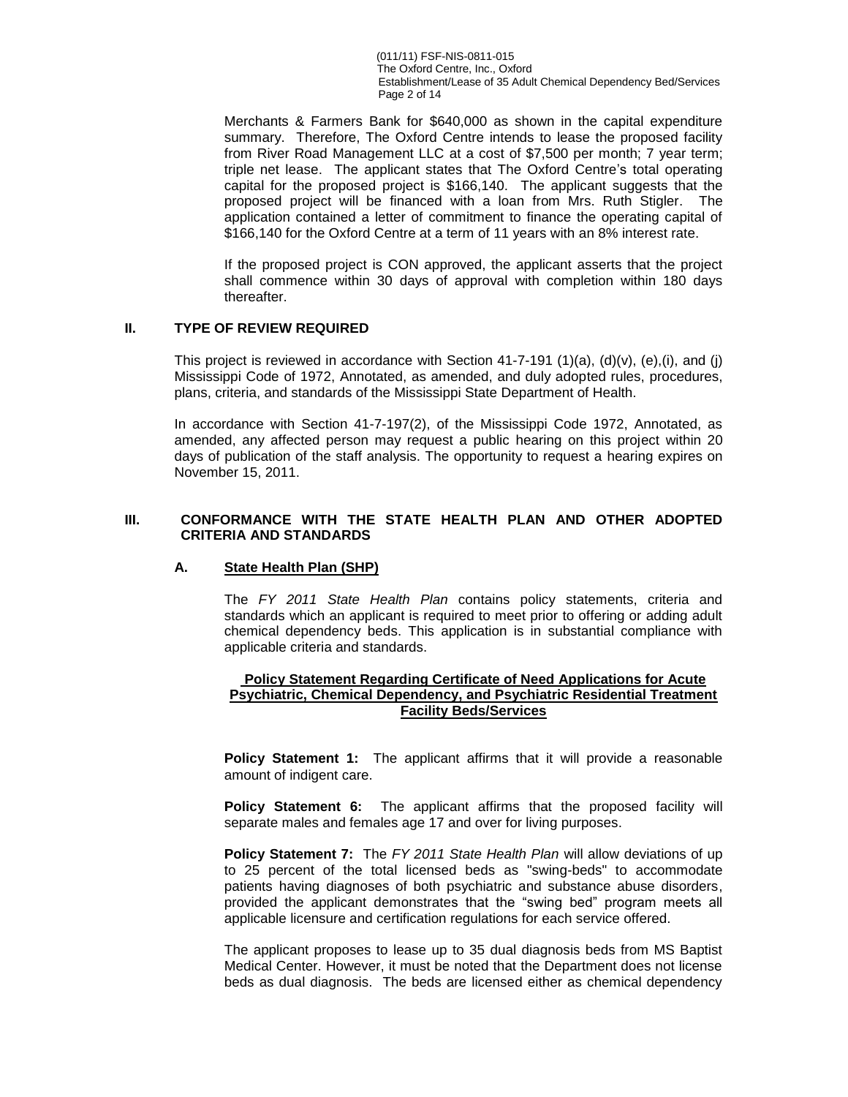(011/11) FSF-NIS-0811-015 The Oxford Centre, Inc., Oxford Establishment/Lease of 35 Adult Chemical Dependency Bed/Services Page 2 of 14

Merchants & Farmers Bank for \$640,000 as shown in the capital expenditure summary. Therefore, The Oxford Centre intends to lease the proposed facility from River Road Management LLC at a cost of \$7,500 per month; 7 year term; triple net lease. The applicant states that The Oxford Centre's total operating capital for the proposed project is \$166,140. The applicant suggests that the proposed project will be financed with a loan from Mrs. Ruth Stigler. The application contained a letter of commitment to finance the operating capital of \$166,140 for the Oxford Centre at a term of 11 years with an 8% interest rate.

If the proposed project is CON approved, the applicant asserts that the project shall commence within 30 days of approval with completion within 180 days thereafter.

## **II. TYPE OF REVIEW REQUIRED**

This project is reviewed in accordance with Section 41-7-191 (1)(a), (d)(v), (e),(i), and (j) Mississippi Code of 1972, Annotated, as amended, and duly adopted rules, procedures, plans, criteria, and standards of the Mississippi State Department of Health.

In accordance with Section 41-7-197(2), of the Mississippi Code 1972, Annotated, as amended, any affected person may request a public hearing on this project within 20 days of publication of the staff analysis. The opportunity to request a hearing expires on November 15, 2011.

# **III. CONFORMANCE WITH THE STATE HEALTH PLAN AND OTHER ADOPTED CRITERIA AND STANDARDS**

#### **A. State Health Plan (SHP)**

The *FY 2011 State Health Plan* contains policy statements, criteria and standards which an applicant is required to meet prior to offering or adding adult chemical dependency beds. This application is in substantial compliance with applicable criteria and standards.

#### **Policy Statement Regarding Certificate of Need Applications for Acute Psychiatric, Chemical Dependency, and Psychiatric Residential Treatment Facility Beds/Services**

**Policy Statement 1:** The applicant affirms that it will provide a reasonable amount of indigent care.

**Policy Statement 6:** The applicant affirms that the proposed facility will separate males and females age 17 and over for living purposes.

**Policy Statement 7:** The *FY 2011 State Health Plan* will allow deviations of up to 25 percent of the total licensed beds as "swing-beds" to accommodate patients having diagnoses of both psychiatric and substance abuse disorders, provided the applicant demonstrates that the "swing bed" program meets all applicable licensure and certification regulations for each service offered.

The applicant proposes to lease up to 35 dual diagnosis beds from MS Baptist Medical Center. However, it must be noted that the Department does not license beds as dual diagnosis. The beds are licensed either as chemical dependency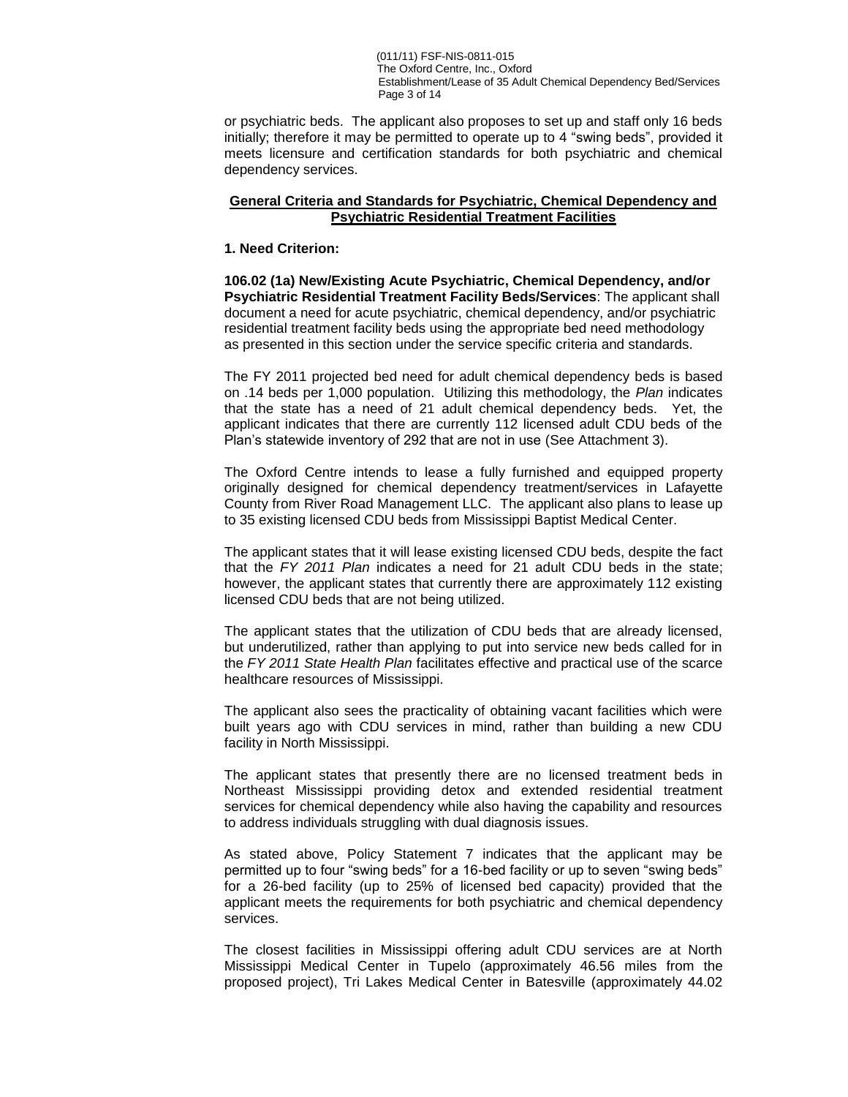(011/11) FSF-NIS-0811-015 The Oxford Centre, Inc., Oxford Establishment/Lease of 35 Adult Chemical Dependency Bed/Services Page 3 of 14

or psychiatric beds. The applicant also proposes to set up and staff only 16 beds initially; therefore it may be permitted to operate up to 4 "swing beds", provided it meets licensure and certification standards for both psychiatric and chemical dependency services.

### **General Criteria and Standards for Psychiatric, Chemical Dependency and Psychiatric Residential Treatment Facilities**

#### **1. Need Criterion:**

**106.02 (1a) New/Existing Acute Psychiatric, Chemical Dependency, and/or Psychiatric Residential Treatment Facility Beds/Services**: The applicant shall document a need for acute psychiatric, chemical dependency, and/or psychiatric residential treatment facility beds using the appropriate bed need methodology as presented in this section under the service specific criteria and standards.

The FY 2011 projected bed need for adult chemical dependency beds is based on .14 beds per 1,000 population. Utilizing this methodology, the *Plan* indicates that the state has a need of 21 adult chemical dependency beds. Yet, the applicant indicates that there are currently 112 licensed adult CDU beds of the Plan's statewide inventory of 292 that are not in use (See Attachment 3).

The Oxford Centre intends to lease a fully furnished and equipped property originally designed for chemical dependency treatment/services in Lafayette County from River Road Management LLC. The applicant also plans to lease up to 35 existing licensed CDU beds from Mississippi Baptist Medical Center.

The applicant states that it will lease existing licensed CDU beds, despite the fact that the *FY 2011 Plan* indicates a need for 21 adult CDU beds in the state; however, the applicant states that currently there are approximately 112 existing licensed CDU beds that are not being utilized.

The applicant states that the utilization of CDU beds that are already licensed, but underutilized, rather than applying to put into service new beds called for in the *FY 2011 State Health Plan* facilitates effective and practical use of the scarce healthcare resources of Mississippi.

The applicant also sees the practicality of obtaining vacant facilities which were built years ago with CDU services in mind, rather than building a new CDU facility in North Mississippi.

The applicant states that presently there are no licensed treatment beds in Northeast Mississippi providing detox and extended residential treatment services for chemical dependency while also having the capability and resources to address individuals struggling with dual diagnosis issues.

As stated above, Policy Statement 7 indicates that the applicant may be permitted up to four "swing beds" for a 16-bed facility or up to seven "swing beds" for a 26-bed facility (up to 25% of licensed bed capacity) provided that the applicant meets the requirements for both psychiatric and chemical dependency services.

The closest facilities in Mississippi offering adult CDU services are at North Mississippi Medical Center in Tupelo (approximately 46.56 miles from the proposed project), Tri Lakes Medical Center in Batesville (approximately 44.02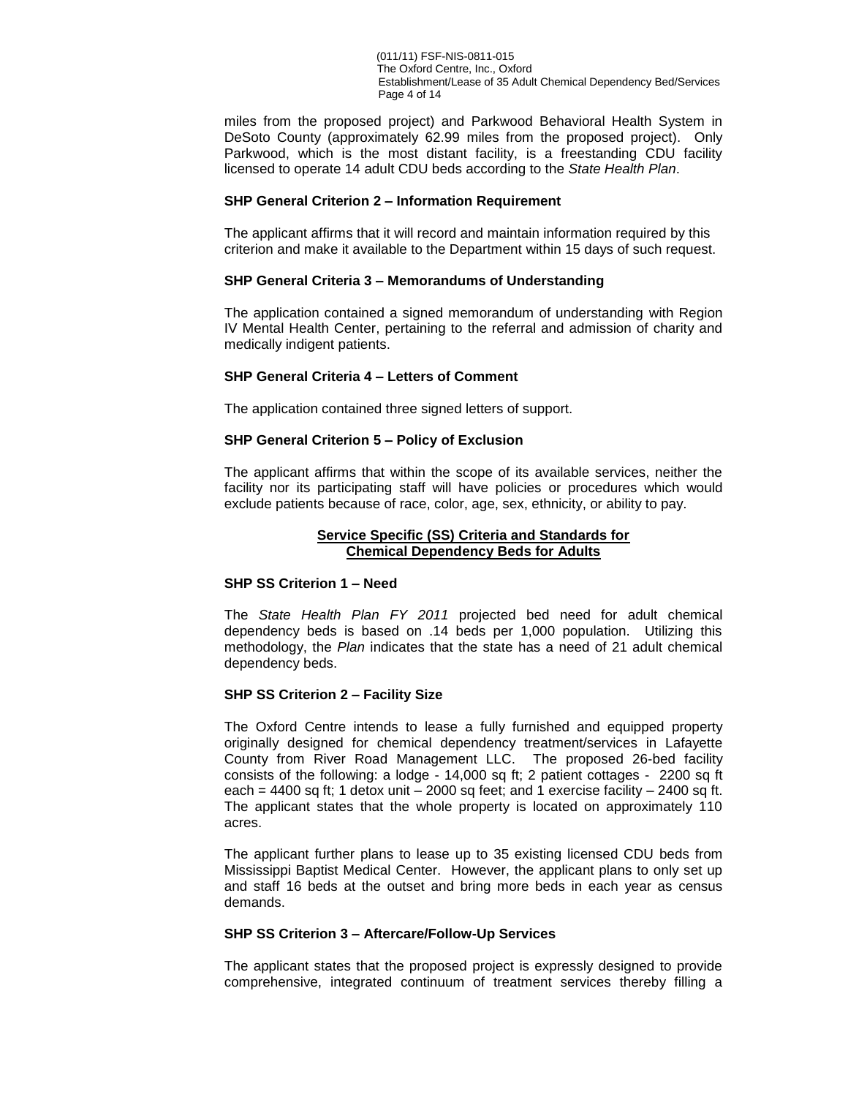(011/11) FSF-NIS-0811-015 The Oxford Centre, Inc., Oxford Establishment/Lease of 35 Adult Chemical Dependency Bed/Services Page 4 of 14

miles from the proposed project) and Parkwood Behavioral Health System in DeSoto County (approximately 62.99 miles from the proposed project). Only Parkwood, which is the most distant facility, is a freestanding CDU facility licensed to operate 14 adult CDU beds according to the *State Health Plan*.

#### **SHP General Criterion 2 – Information Requirement**

The applicant affirms that it will record and maintain information required by this criterion and make it available to the Department within 15 days of such request.

#### **SHP General Criteria 3 – Memorandums of Understanding**

The application contained a signed memorandum of understanding with Region IV Mental Health Center, pertaining to the referral and admission of charity and medically indigent patients.

#### **SHP General Criteria 4 – Letters of Comment**

The application contained three signed letters of support.

#### **SHP General Criterion 5 – Policy of Exclusion**

The applicant affirms that within the scope of its available services, neither the facility nor its participating staff will have policies or procedures which would exclude patients because of race, color, age, sex, ethnicity, or ability to pay.

#### **Service Specific (SS) Criteria and Standards for Chemical Dependency Beds for Adults**

#### **SHP SS Criterion 1 – Need**

The *State Health Plan FY 2011* projected bed need for adult chemical dependency beds is based on .14 beds per 1,000 population. Utilizing this methodology, the *Plan* indicates that the state has a need of 21 adult chemical dependency beds.

#### **SHP SS Criterion 2 – Facility Size**

The Oxford Centre intends to lease a fully furnished and equipped property originally designed for chemical dependency treatment/services in Lafayette County from River Road Management LLC. The proposed 26-bed facility consists of the following: a lodge - 14,000 sq ft; 2 patient cottages - 2200 sq ft each = 4400 sq ft; 1 detox unit  $-$  2000 sq feet; and 1 exercise facility  $-$  2400 sq ft. The applicant states that the whole property is located on approximately 110 acres.

The applicant further plans to lease up to 35 existing licensed CDU beds from Mississippi Baptist Medical Center. However, the applicant plans to only set up and staff 16 beds at the outset and bring more beds in each year as census demands.

#### **SHP SS Criterion 3 – Aftercare/Follow-Up Services**

The applicant states that the proposed project is expressly designed to provide comprehensive, integrated continuum of treatment services thereby filling a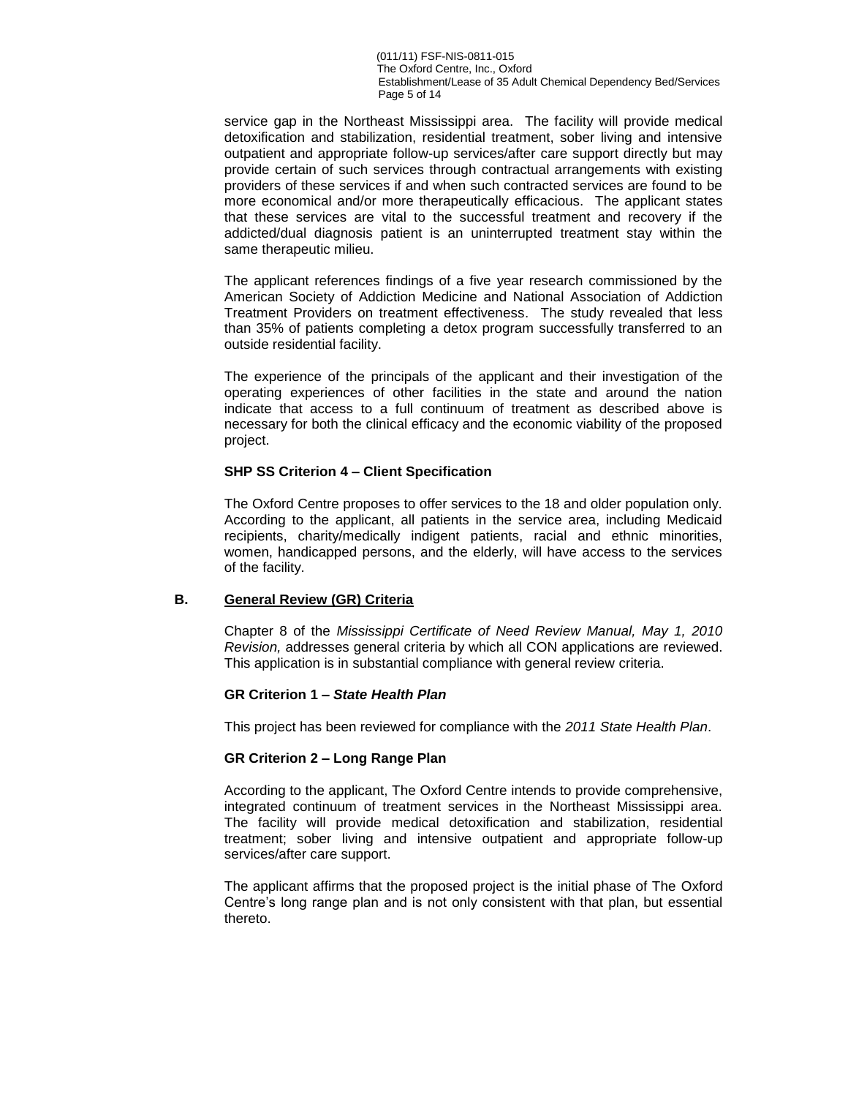service gap in the Northeast Mississippi area. The facility will provide medical detoxification and stabilization, residential treatment, sober living and intensive outpatient and appropriate follow-up services/after care support directly but may provide certain of such services through contractual arrangements with existing providers of these services if and when such contracted services are found to be more economical and/or more therapeutically efficacious. The applicant states that these services are vital to the successful treatment and recovery if the addicted/dual diagnosis patient is an uninterrupted treatment stay within the same therapeutic milieu.

The applicant references findings of a five year research commissioned by the American Society of Addiction Medicine and National Association of Addiction Treatment Providers on treatment effectiveness. The study revealed that less than 35% of patients completing a detox program successfully transferred to an outside residential facility.

The experience of the principals of the applicant and their investigation of the operating experiences of other facilities in the state and around the nation indicate that access to a full continuum of treatment as described above is necessary for both the clinical efficacy and the economic viability of the proposed project.

### **SHP SS Criterion 4 – Client Specification**

The Oxford Centre proposes to offer services to the 18 and older population only. According to the applicant, all patients in the service area, including Medicaid recipients, charity/medically indigent patients, racial and ethnic minorities, women, handicapped persons, and the elderly, will have access to the services of the facility.

### **B. General Review (GR) Criteria**

Chapter 8 of the *Mississippi Certificate of Need Review Manual, May 1, 2010 Revision,* addresses general criteria by which all CON applications are reviewed. This application is in substantial compliance with general review criteria.

### **GR Criterion 1 –** *State Health Plan*

This project has been reviewed for compliance with the *2011 State Health Plan*.

### **GR Criterion 2 – Long Range Plan**

According to the applicant, The Oxford Centre intends to provide comprehensive, integrated continuum of treatment services in the Northeast Mississippi area. The facility will provide medical detoxification and stabilization, residential treatment; sober living and intensive outpatient and appropriate follow-up services/after care support.

The applicant affirms that the proposed project is the initial phase of The Oxford Centre's long range plan and is not only consistent with that plan, but essential thereto.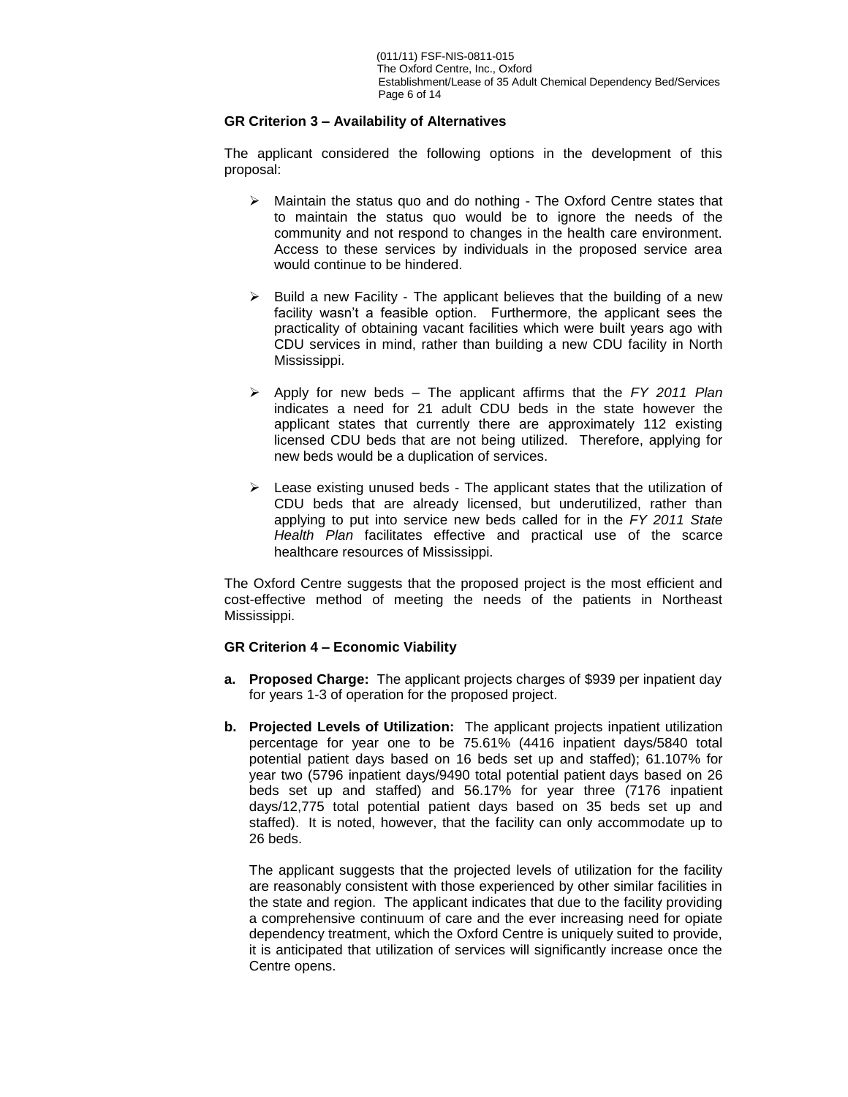# **GR Criterion 3 – Availability of Alternatives**

The applicant considered the following options in the development of this proposal:

- $\triangleright$  Maintain the status quo and do nothing The Oxford Centre states that to maintain the status quo would be to ignore the needs of the community and not respond to changes in the health care environment. Access to these services by individuals in the proposed service area would continue to be hindered.
- $\triangleright$  Build a new Facility The applicant believes that the building of a new facility wasn't a feasible option. Furthermore, the applicant sees the practicality of obtaining vacant facilities which were built years ago with CDU services in mind, rather than building a new CDU facility in North Mississippi.
- Apply for new beds The applicant affirms that the *FY 2011 Plan* indicates a need for 21 adult CDU beds in the state however the applicant states that currently there are approximately 112 existing licensed CDU beds that are not being utilized. Therefore, applying for new beds would be a duplication of services.
- $\triangleright$  Lease existing unused beds The applicant states that the utilization of CDU beds that are already licensed, but underutilized, rather than applying to put into service new beds called for in the *FY 2011 State Health Plan* facilitates effective and practical use of the scarce healthcare resources of Mississippi.

The Oxford Centre suggests that the proposed project is the most efficient and cost-effective method of meeting the needs of the patients in Northeast Mississippi.

### **GR Criterion 4 – Economic Viability**

- **a. Proposed Charge:** The applicant projects charges of \$939 per inpatient day for years 1-3 of operation for the proposed project.
- **b. Projected Levels of Utilization:** The applicant projects inpatient utilization percentage for year one to be 75.61% (4416 inpatient days/5840 total potential patient days based on 16 beds set up and staffed); 61.107% for year two (5796 inpatient days/9490 total potential patient days based on 26 beds set up and staffed) and 56.17% for year three (7176 inpatient days/12,775 total potential patient days based on 35 beds set up and staffed). It is noted, however, that the facility can only accommodate up to 26 beds.

The applicant suggests that the projected levels of utilization for the facility are reasonably consistent with those experienced by other similar facilities in the state and region. The applicant indicates that due to the facility providing a comprehensive continuum of care and the ever increasing need for opiate dependency treatment, which the Oxford Centre is uniquely suited to provide, it is anticipated that utilization of services will significantly increase once the Centre opens.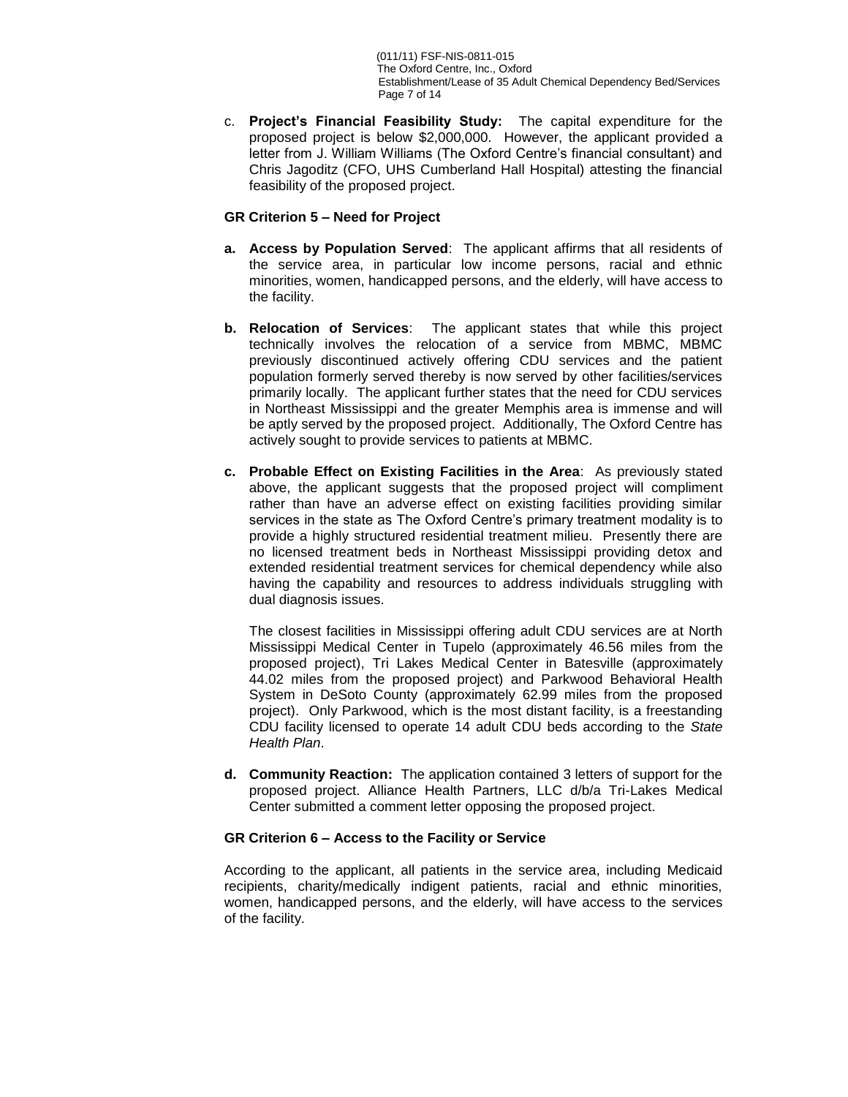(011/11) FSF-NIS-0811-015 The Oxford Centre, Inc., Oxford Establishment/Lease of 35 Adult Chemical Dependency Bed/Services Page 7 of 14

c. **Project's Financial Feasibility Study:** The capital expenditure for the proposed project is below \$2,000,000. However, the applicant provided a letter from J. William Williams (The Oxford Centre's financial consultant) and Chris Jagoditz (CFO, UHS Cumberland Hall Hospital) attesting the financial feasibility of the proposed project.

### **GR Criterion 5 – Need for Project**

- **a. Access by Population Served**: The applicant affirms that all residents of the service area, in particular low income persons, racial and ethnic minorities, women, handicapped persons, and the elderly, will have access to the facility.
- **b. Relocation of Services**: The applicant states that while this project technically involves the relocation of a service from MBMC, MBMC previously discontinued actively offering CDU services and the patient population formerly served thereby is now served by other facilities/services primarily locally. The applicant further states that the need for CDU services in Northeast Mississippi and the greater Memphis area is immense and will be aptly served by the proposed project. Additionally, The Oxford Centre has actively sought to provide services to patients at MBMC.
- **c. Probable Effect on Existing Facilities in the Area**: As previously stated above, the applicant suggests that the proposed project will compliment rather than have an adverse effect on existing facilities providing similar services in the state as The Oxford Centre's primary treatment modality is to provide a highly structured residential treatment milieu. Presently there are no licensed treatment beds in Northeast Mississippi providing detox and extended residential treatment services for chemical dependency while also having the capability and resources to address individuals struggling with dual diagnosis issues.

The closest facilities in Mississippi offering adult CDU services are at North Mississippi Medical Center in Tupelo (approximately 46.56 miles from the proposed project), Tri Lakes Medical Center in Batesville (approximately 44.02 miles from the proposed project) and Parkwood Behavioral Health System in DeSoto County (approximately 62.99 miles from the proposed project). Only Parkwood, which is the most distant facility, is a freestanding CDU facility licensed to operate 14 adult CDU beds according to the *State Health Plan*.

**d. Community Reaction:** The application contained 3 letters of support for the proposed project. Alliance Health Partners, LLC d/b/a Tri-Lakes Medical Center submitted a comment letter opposing the proposed project.

#### **GR Criterion 6 – Access to the Facility or Service**

According to the applicant, all patients in the service area, including Medicaid recipients, charity/medically indigent patients, racial and ethnic minorities, women, handicapped persons, and the elderly, will have access to the services of the facility.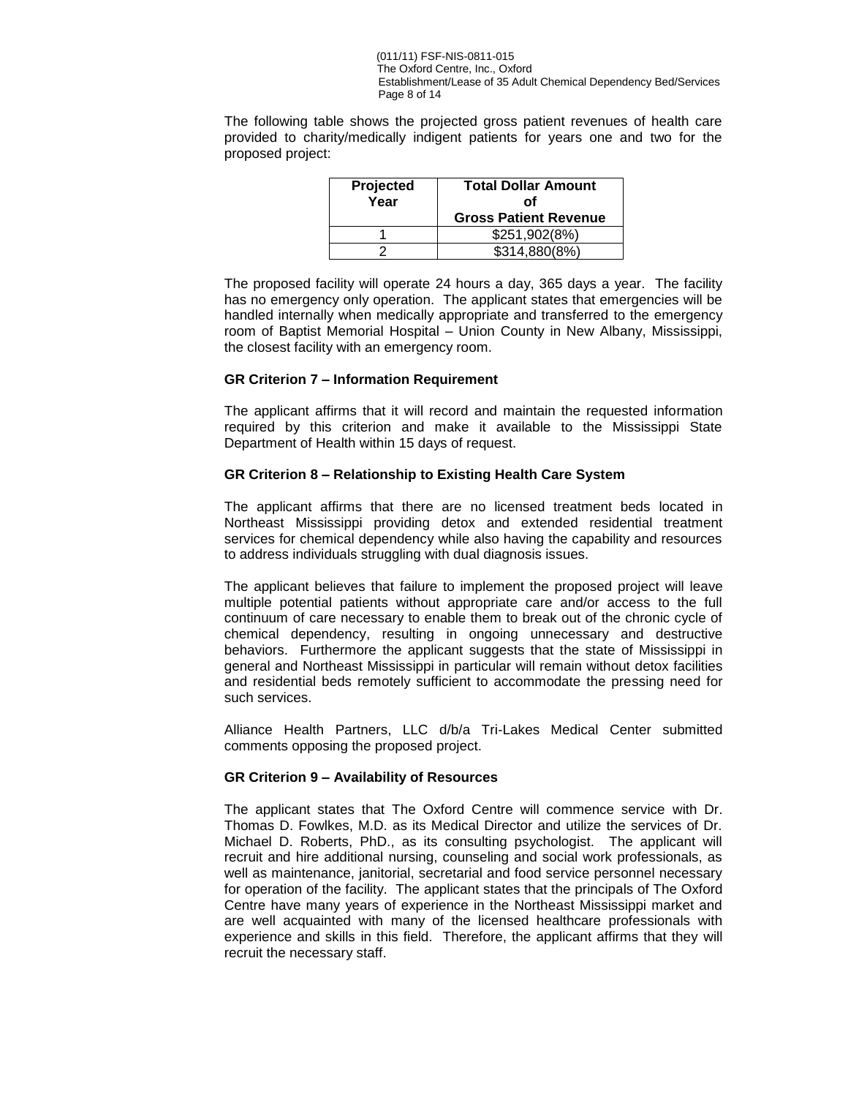(011/11) FSF-NIS-0811-015 The Oxford Centre, Inc., Oxford Establishment/Lease of 35 Adult Chemical Dependency Bed/Services Page 8 of 14

The following table shows the projected gross patient revenues of health care provided to charity/medically indigent patients for years one and two for the proposed project:

| Projected<br>Year | <b>Total Dollar Amount</b><br>Οf<br><b>Gross Patient Revenue</b> |
|-------------------|------------------------------------------------------------------|
|                   | \$251,902(8%)                                                    |
|                   | \$314,880(8%)                                                    |

The proposed facility will operate 24 hours a day, 365 days a year. The facility has no emergency only operation. The applicant states that emergencies will be handled internally when medically appropriate and transferred to the emergency room of Baptist Memorial Hospital – Union County in New Albany, Mississippi, the closest facility with an emergency room.

#### **GR Criterion 7 – Information Requirement**

The applicant affirms that it will record and maintain the requested information required by this criterion and make it available to the Mississippi State Department of Health within 15 days of request.

#### **GR Criterion 8 – Relationship to Existing Health Care System**

The applicant affirms that there are no licensed treatment beds located in Northeast Mississippi providing detox and extended residential treatment services for chemical dependency while also having the capability and resources to address individuals struggling with dual diagnosis issues.

The applicant believes that failure to implement the proposed project will leave multiple potential patients without appropriate care and/or access to the full continuum of care necessary to enable them to break out of the chronic cycle of chemical dependency, resulting in ongoing unnecessary and destructive behaviors. Furthermore the applicant suggests that the state of Mississippi in general and Northeast Mississippi in particular will remain without detox facilities and residential beds remotely sufficient to accommodate the pressing need for such services.

Alliance Health Partners, LLC d/b/a Tri-Lakes Medical Center submitted comments opposing the proposed project.

#### **GR Criterion 9 – Availability of Resources**

The applicant states that The Oxford Centre will commence service with Dr. Thomas D. Fowlkes, M.D. as its Medical Director and utilize the services of Dr. Michael D. Roberts, PhD., as its consulting psychologist. The applicant will recruit and hire additional nursing, counseling and social work professionals, as well as maintenance, janitorial, secretarial and food service personnel necessary for operation of the facility. The applicant states that the principals of The Oxford Centre have many years of experience in the Northeast Mississippi market and are well acquainted with many of the licensed healthcare professionals with experience and skills in this field. Therefore, the applicant affirms that they will recruit the necessary staff.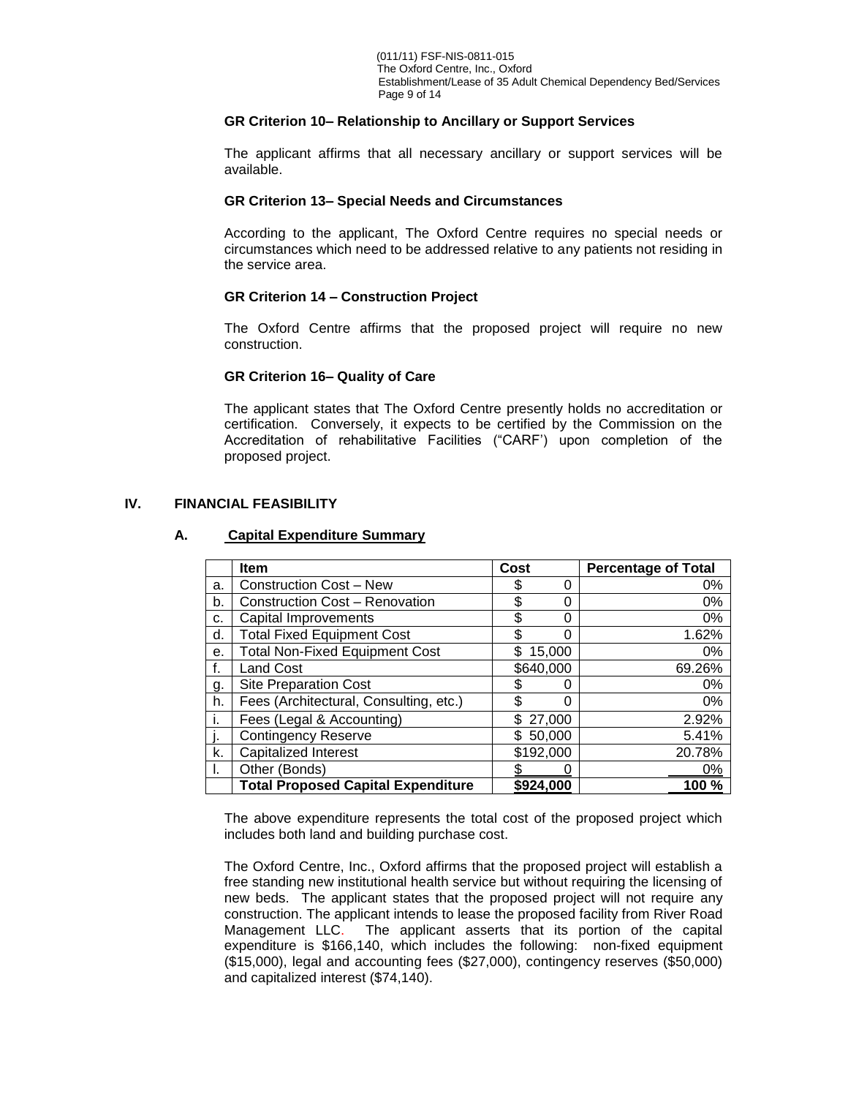### **GR Criterion 10– Relationship to Ancillary or Support Services**

The applicant affirms that all necessary ancillary or support services will be available.

#### **GR Criterion 13– Special Needs and Circumstances**

According to the applicant, The Oxford Centre requires no special needs or circumstances which need to be addressed relative to any patients not residing in the service area.

### **GR Criterion 14 – Construction Project**

The Oxford Centre affirms that the proposed project will require no new construction.

### **GR Criterion 16– Quality of Care**

The applicant states that The Oxford Centre presently holds no accreditation or certification. Conversely, it expects to be certified by the Commission on the Accreditation of rehabilitative Facilities ("CARF') upon completion of the proposed project.

# **IV. FINANCIAL FEASIBILITY**

### **A. Capital Expenditure Summary**

|    | <b>Item</b>                               | Cost          |        | <b>Percentage of Total</b> |
|----|-------------------------------------------|---------------|--------|----------------------------|
| a. | <b>Construction Cost - New</b>            | \$            | O      | 0%                         |
| b. | <b>Construction Cost - Renovation</b>     | \$            | 0      | 0%                         |
| c. | Capital Improvements                      | \$            | 0      | 0%                         |
| d. | <b>Total Fixed Equipment Cost</b>         | \$            | ი      | 1.62%                      |
| е. | <b>Total Non-Fixed Equipment Cost</b>     | \$            | 15,000 | 0%                         |
|    | <b>Land Cost</b>                          | \$640,000     |        | 69.26%                     |
| g. | <b>Site Preparation Cost</b>              |               | O      | 0%                         |
| h. | Fees (Architectural, Consulting, etc.)    | \$            | 0      | 0%                         |
|    | Fees (Legal & Accounting)                 | 27,000<br>\$. |        | 2.92%                      |
|    | <b>Contingency Reserve</b>                | \$50,000      |        | 5.41%                      |
| k. | <b>Capitalized Interest</b>               | \$192,000     |        | 20.78%                     |
|    | Other (Bonds)                             |               |        | 0%                         |
|    | <b>Total Proposed Capital Expenditure</b> | \$924,000     |        | 100 %                      |

The above expenditure represents the total cost of the proposed project which includes both land and building purchase cost.

The Oxford Centre, Inc., Oxford affirms that the proposed project will establish a free standing new institutional health service but without requiring the licensing of new beds. The applicant states that the proposed project will not require any construction. The applicant intends to lease the proposed facility from River Road Management LLC. The applicant asserts that its portion of the capital expenditure is \$166,140, which includes the following: non-fixed equipment (\$15,000), legal and accounting fees (\$27,000), contingency reserves (\$50,000) and capitalized interest (\$74,140).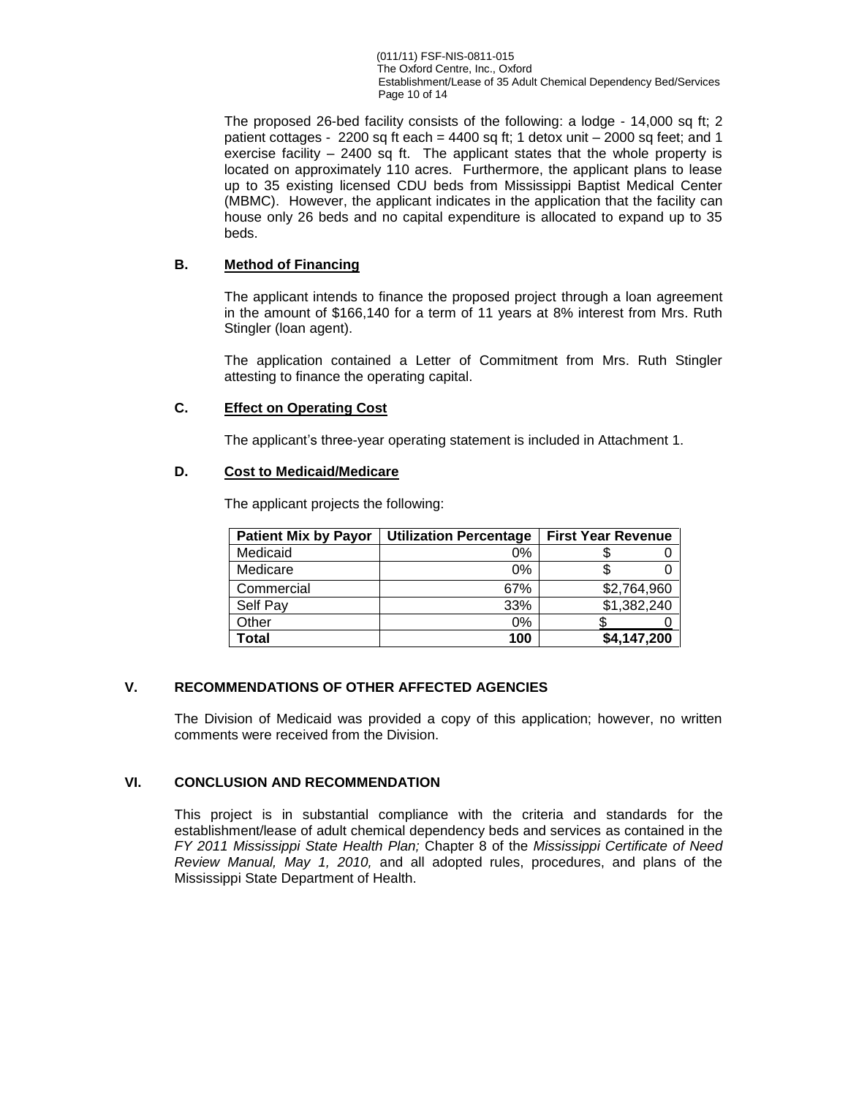(011/11) FSF-NIS-0811-015 The Oxford Centre, Inc., Oxford Establishment/Lease of 35 Adult Chemical Dependency Bed/Services Page 10 of 14

The proposed 26-bed facility consists of the following: a lodge - 14,000 sq ft; 2 patient cottages - 2200 sq ft each = 4400 sq ft; 1 detox unit  $-$  2000 sq feet; and 1 exercise facility – 2400 sq ft. The applicant states that the whole property is located on approximately 110 acres. Furthermore, the applicant plans to lease up to 35 existing licensed CDU beds from Mississippi Baptist Medical Center (MBMC). However, the applicant indicates in the application that the facility can house only 26 beds and no capital expenditure is allocated to expand up to 35 beds.

# **B. Method of Financing**

The applicant intends to finance the proposed project through a loan agreement in the amount of \$166,140 for a term of 11 years at 8% interest from Mrs. Ruth Stingler (loan agent).

The application contained a Letter of Commitment from Mrs. Ruth Stingler attesting to finance the operating capital.

# **C. Effect on Operating Cost**

The applicant's three-year operating statement is included in Attachment 1.

### **D. Cost to Medicaid/Medicare**

The applicant projects the following:

| <b>Patient Mix by Payor</b> | <b>Utilization Percentage</b> | <b>First Year Revenue</b> |
|-----------------------------|-------------------------------|---------------------------|
| Medicaid                    | 0%                            |                           |
| Medicare                    | 0%                            |                           |
| Commercial                  | 67%                           | \$2,764,960               |
| Self Pay                    | 33%                           | \$1,382,240               |
| Other                       | 0%                            |                           |
| Total                       | 100                           | \$4,147,200               |

## **V. RECOMMENDATIONS OF OTHER AFFECTED AGENCIES**

The Division of Medicaid was provided a copy of this application; however, no written comments were received from the Division.

### **VI. CONCLUSION AND RECOMMENDATION**

This project is in substantial compliance with the criteria and standards for the establishment/lease of adult chemical dependency beds and services as contained in the *FY 2011 Mississippi State Health Plan;* Chapter 8 of the *Mississippi Certificate of Need Review Manual, May 1, 2010,* and all adopted rules, procedures, and plans of the Mississippi State Department of Health.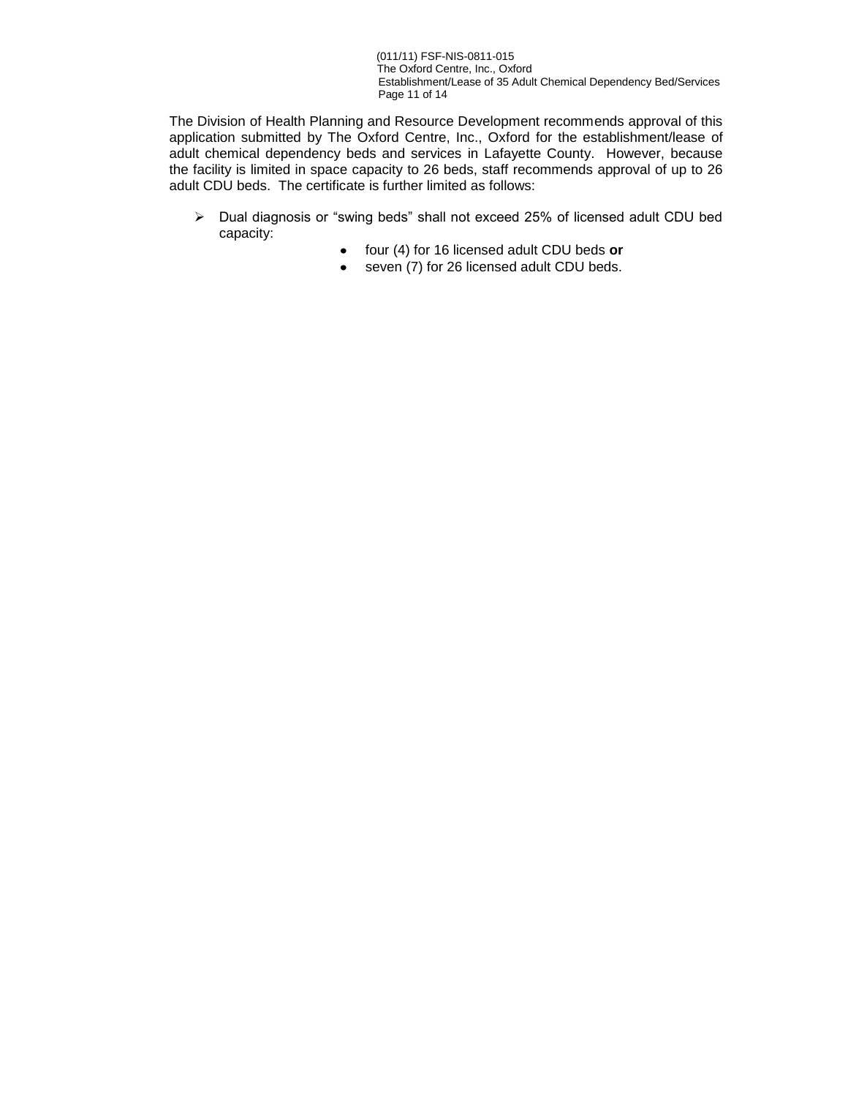(011/11) FSF-NIS-0811-015 The Oxford Centre, Inc., Oxford Establishment/Lease of 35 Adult Chemical Dependency Bed/Services Page 11 of 14

The Division of Health Planning and Resource Development recommends approval of this application submitted by The Oxford Centre, Inc., Oxford for the establishment/lease of adult chemical dependency beds and services in Lafayette County. However, because the facility is limited in space capacity to 26 beds, staff recommends approval of up to 26 adult CDU beds. The certificate is further limited as follows:

- Dual diagnosis or "swing beds" shall not exceed 25% of licensed adult CDU bed capacity:
	- four (4) for 16 licensed adult CDU beds **or**
	- seven (7) for 26 licensed adult CDU beds.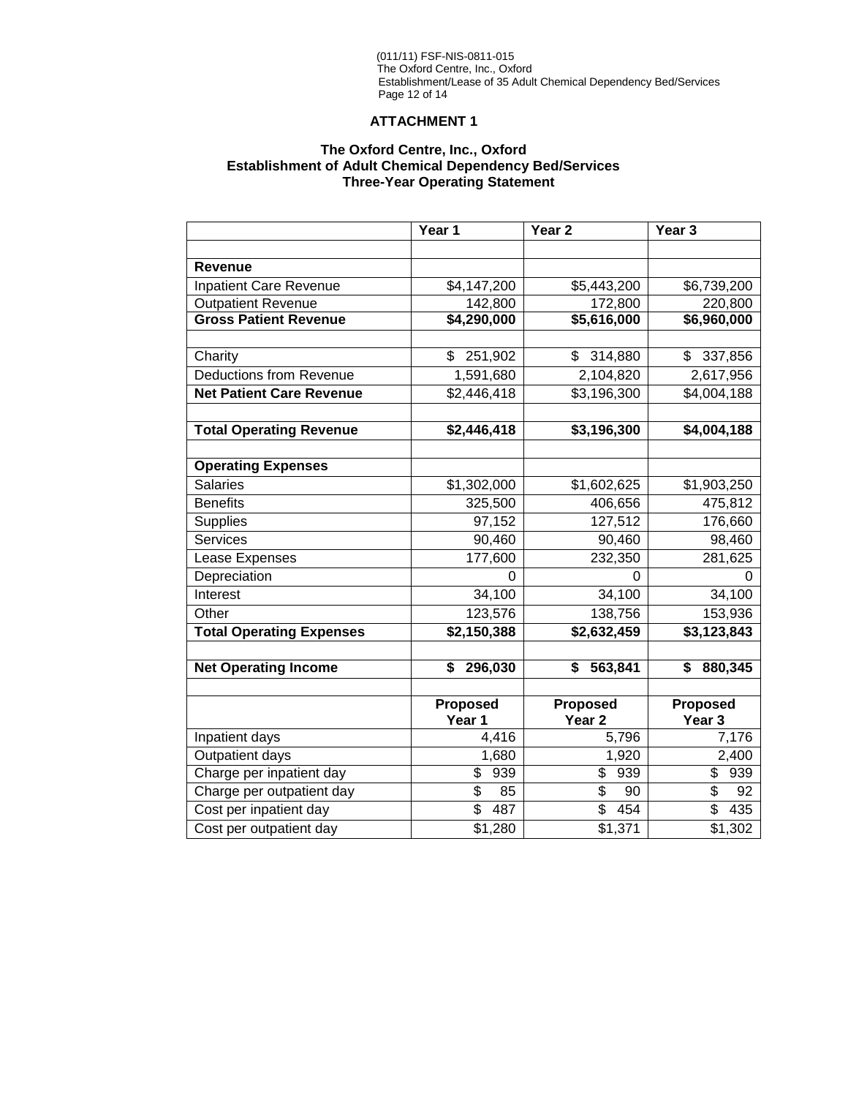#### (011/11) FSF-NIS-0811-015 The Oxford Centre, Inc., Oxford Establishment/Lease of 35 Adult Chemical Dependency Bed/Services Page 12 of 14

# **ATTACHMENT 1**

# **The Oxford Centre, Inc., Oxford Establishment of Adult Chemical Dependency Bed/Services Three-Year Operating Statement**

|                                 | Year 1                          | Year <sub>2</sub> |                   |
|---------------------------------|---------------------------------|-------------------|-------------------|
|                                 |                                 |                   |                   |
| <b>Revenue</b>                  |                                 |                   |                   |
| <b>Inpatient Care Revenue</b>   | \$4,147,200                     | \$5,443,200       | \$6,739,200       |
| <b>Outpatient Revenue</b>       | 142,800                         | 172,800           | 220,800           |
| <b>Gross Patient Revenue</b>    | \$4,290,000                     | \$5,616,000       | \$6,960,000       |
|                                 |                                 |                   |                   |
| Charity                         | \$<br>251,902                   | 314,880<br>\$     | 337,856<br>\$     |
| <b>Deductions from Revenue</b>  | 1,591,680                       | 2,104,820         | 2,617,956         |
| <b>Net Patient Care Revenue</b> | \$2,446,418                     | \$3,196,300       | \$4,004,188       |
|                                 |                                 |                   |                   |
| <b>Total Operating Revenue</b>  | \$2,446,418                     | \$3,196,300       | \$4,004,188       |
|                                 |                                 |                   |                   |
| <b>Operating Expenses</b>       |                                 |                   |                   |
| <b>Salaries</b>                 | \$1,302,000                     | \$1,602,625       | \$1,903,250       |
| <b>Benefits</b>                 | 325,500                         | 406,656           | 475,812           |
| <b>Supplies</b>                 | 97,152                          | 127,512           | 176,660           |
| <b>Services</b>                 | 90,460                          | 90,460            | 98,460            |
| Lease Expenses                  | 177,600                         | 232,350           | 281,625           |
| Depreciation                    | 0                               | 0                 | U                 |
| Interest                        | 34,100                          | 34,100            | 34,100            |
| Other                           | 123,576                         | 138,756           | 153,936           |
| <b>Total Operating Expenses</b> | \$2,150,388                     | \$2,632,459       | \$3,123,843       |
|                                 |                                 |                   |                   |
| <b>Net Operating Income</b>     | \$<br>296,030                   | \$<br>563,841     | \$<br>880,345     |
|                                 |                                 |                   |                   |
|                                 | Proposed                        | <b>Proposed</b>   | Proposed          |
|                                 | Year 1                          | Year <sub>2</sub> | Year <sub>3</sub> |
| Inpatient days                  | 4,416                           | 5,796             | 7,176             |
| <b>Outpatient days</b>          | 1,680                           | 1,920             | 2,400             |
| Charge per inpatient day        | \$<br>939                       | \$<br>939         | \$<br>939         |
| Charge per outpatient day       | \$<br>85                        | \$<br>90          | \$<br>92          |
| Cost per inpatient day          | $\overline{\mathcal{S}}$<br>487 | \$<br>454         | \$<br>435         |
| Cost per outpatient day         | \$1,280                         | \$1,371           | \$1,302           |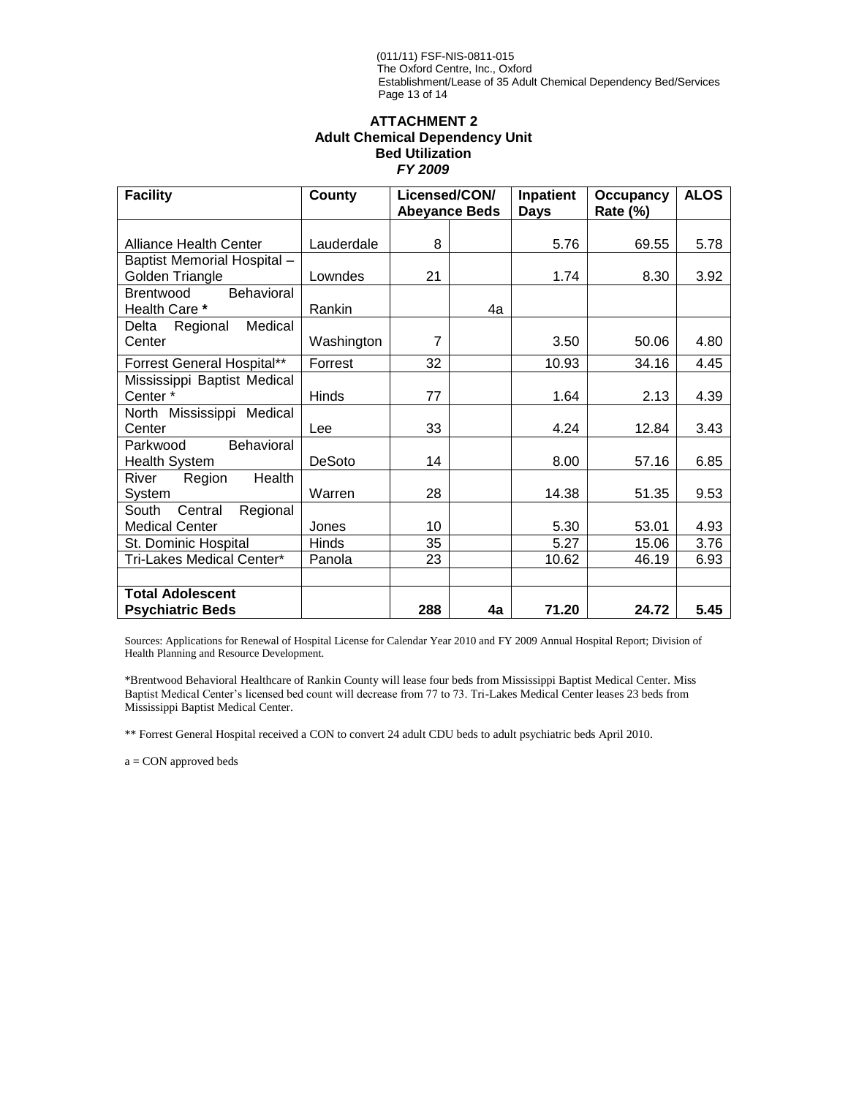#### (011/11) FSF-NIS-0811-015 The Oxford Centre, Inc., Oxford Establishment/Lease of 35 Adult Chemical Dependency Bed/Services Page 13 of 14

### **ATTACHMENT 2 Adult Chemical Dependency Unit Bed Utilization**  *FY 2009*

| <b>Facility</b>                                        | County       | Licensed/CON/<br><b>Abeyance Beds</b> |    | Inpatient<br><b>Days</b> | <b>Occupancy</b><br><b>Rate (%)</b> | <b>ALOS</b> |
|--------------------------------------------------------|--------------|---------------------------------------|----|--------------------------|-------------------------------------|-------------|
|                                                        |              |                                       |    |                          |                                     |             |
| <b>Alliance Health Center</b>                          | Lauderdale   | 8                                     |    | 5.76                     | 69.55                               | 5.78        |
| Baptist Memorial Hospital -<br>Golden Triangle         | Lowndes      | 21                                    |    | 1.74                     | 8.30                                | 3.92        |
| <b>Behavioral</b><br><b>Brentwood</b><br>Health Care * | Rankin       |                                       | 4a |                          |                                     |             |
| Medical<br>Delta<br>Regional<br>Center                 | Washington   | $\overline{7}$                        |    | 3.50                     | 50.06                               | 4.80        |
| Forrest General Hospital**                             | Forrest      | 32                                    |    | 10.93                    | 34.16                               | 4.45        |
| Mississippi Baptist Medical<br>Center*                 | <b>Hinds</b> | 77                                    |    | 1.64                     | 2.13                                | 4.39        |
| North Mississippi Medical<br>Center                    | Lee          | 33                                    |    | 4.24                     | 12.84                               | 3.43        |
| Behavioral<br>Parkwood<br><b>Health System</b>         | DeSoto       | 14                                    |    | 8.00                     | 57.16                               | 6.85        |
| Health<br>River<br>Region<br>System                    | Warren       | 28                                    |    | 14.38                    | 51.35                               | 9.53        |
| Regional<br>South<br>Central<br><b>Medical Center</b>  | Jones        | 10                                    |    | 5.30                     | 53.01                               | 4.93        |
| St. Dominic Hospital                                   | Hinds        | 35                                    |    | 5.27                     | 15.06                               | 3.76        |
| Tri-Lakes Medical Center*                              | Panola       | 23                                    |    | 10.62                    | 46.19                               | 6.93        |
| <b>Total Adolescent</b><br><b>Psychiatric Beds</b>     |              | 288                                   | 4a | 71.20                    | 24.72                               | 5.45        |

Sources: Applications for Renewal of Hospital License for Calendar Year 2010 and FY 2009 Annual Hospital Report; Division of Health Planning and Resource Development.

\*Brentwood Behavioral Healthcare of Rankin County will lease four beds from Mississippi Baptist Medical Center. Miss Baptist Medical Center's licensed bed count will decrease from 77 to 73. Tri-Lakes Medical Center leases 23 beds from Mississippi Baptist Medical Center.

\*\* Forrest General Hospital received a CON to convert 24 adult CDU beds to adult psychiatric beds April 2010.

a = CON approved beds